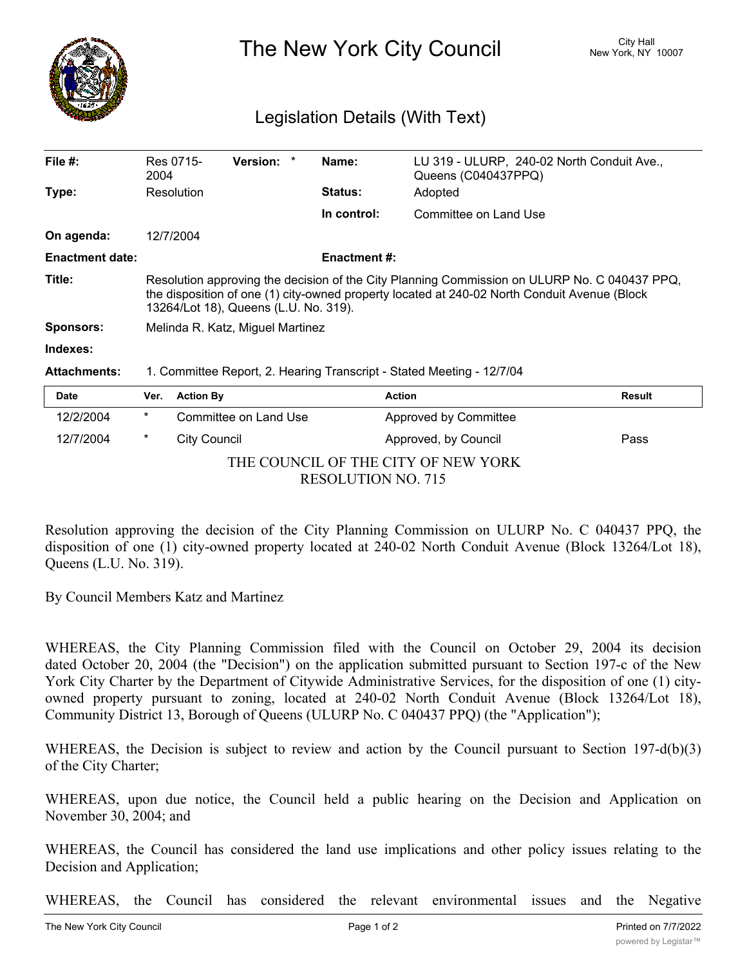

The New York City Council New York, NY 10007

## Legislation Details (With Text)

| File $#$ :             | 2004                                                                                                                                                                                                                                  | Res 0715-           | Version: *            |  | Name:               | LU 319 - ULURP, 240-02 North Conduit Ave.,<br>Queens (C040437PPQ) |               |
|------------------------|---------------------------------------------------------------------------------------------------------------------------------------------------------------------------------------------------------------------------------------|---------------------|-----------------------|--|---------------------|-------------------------------------------------------------------|---------------|
| Type:                  |                                                                                                                                                                                                                                       | Resolution          |                       |  | <b>Status:</b>      | Adopted                                                           |               |
|                        |                                                                                                                                                                                                                                       |                     |                       |  | In control:         | Committee on Land Use                                             |               |
| On agenda:             |                                                                                                                                                                                                                                       | 12/7/2004           |                       |  |                     |                                                                   |               |
| <b>Enactment date:</b> |                                                                                                                                                                                                                                       |                     |                       |  | <b>Enactment #:</b> |                                                                   |               |
| Title:                 | Resolution approving the decision of the City Planning Commission on ULURP No. C 040437 PPQ,<br>the disposition of one (1) city-owned property located at 240-02 North Conduit Avenue (Block<br>13264/Lot 18), Queens (L.U. No. 319). |                     |                       |  |                     |                                                                   |               |
| <b>Sponsors:</b>       | Melinda R. Katz, Miguel Martinez                                                                                                                                                                                                      |                     |                       |  |                     |                                                                   |               |
| Indexes:               |                                                                                                                                                                                                                                       |                     |                       |  |                     |                                                                   |               |
| <b>Attachments:</b>    | 1. Committee Report, 2. Hearing Transcript - Stated Meeting - 12/7/04                                                                                                                                                                 |                     |                       |  |                     |                                                                   |               |
| <b>Date</b>            | Ver.                                                                                                                                                                                                                                  | <b>Action By</b>    |                       |  | <b>Action</b>       |                                                                   | <b>Result</b> |
| 12/2/2004              | $\ast$                                                                                                                                                                                                                                |                     | Committee on Land Use |  |                     | Approved by Committee                                             |               |
| 12/7/2004              | $\star$                                                                                                                                                                                                                               | <b>City Council</b> |                       |  |                     | Approved, by Council                                              | Pass          |

THE COUNCIL OF THE CITY OF NEW YORK RESOLUTION NO. 715

Resolution approving the decision of the City Planning Commission on ULURP No. C 040437 PPQ, the disposition of one (1) city-owned property located at 240-02 North Conduit Avenue (Block 13264/Lot 18), Queens (L.U. No. 319).

By Council Members Katz and Martinez

WHEREAS, the City Planning Commission filed with the Council on October 29, 2004 its decision dated October 20, 2004 (the "Decision") on the application submitted pursuant to Section 197-c of the New York City Charter by the Department of Citywide Administrative Services, for the disposition of one (1) cityowned property pursuant to zoning, located at 240-02 North Conduit Avenue (Block 13264/Lot 18), Community District 13, Borough of Queens (ULURP No. C 040437 PPQ) (the "Application");

WHEREAS, the Decision is subject to review and action by the Council pursuant to Section 197-d(b)(3) of the City Charter;

WHEREAS, upon due notice, the Council held a public hearing on the Decision and Application on November 30, 2004; and

WHEREAS, the Council has considered the land use implications and other policy issues relating to the Decision and Application;

WHEREAS, the Council has considered the relevant environmental issues and the Negative